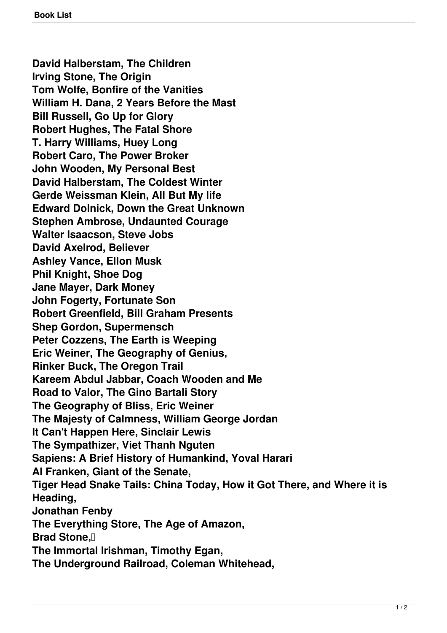**David Halberstam, The Children Irving Stone, The Origin Tom Wolfe, Bonfire of the Vanities William H. Dana, 2 Years Before the Mast Bill Russell, Go Up for Glory Robert Hughes, The Fatal Shore T. Harry Williams, Huey Long Robert Caro, The Power Broker John Wooden, My Personal Best David Halberstam, The Coldest Winter Gerde Weissman Klein, All But My life Edward Dolnick, Down the Great Unknown Stephen Ambrose, Undaunted Courage Walter Isaacson, Steve Jobs David Axelrod, Believer Ashley Vance, Ellon Musk Phil Knight, Shoe Dog Jane Mayer, Dark Money John Fogerty, Fortunate Son Robert Greenfield, Bill Graham Presents Shep Gordon, Supermensch Peter Cozzens, The Earth is Weeping Eric Weiner, The Geography of Genius, Rinker Buck, The Oregon Trail Kareem Abdul Jabbar, Coach Wooden and Me Road to Valor, The Gino Bartali Story The Geography of Bliss, Eric Weiner The Majesty of Calmness, William George Jordan It Can't Happen Here, Sinclair Lewis The Sympathizer, Viet Thanh Nguten Sapiens: A Brief History of Humankind, Yoval Harari Al Franken, Giant of the Senate, Tiger Head Snake Tails: China Today, How it Got There, and Where it is Heading, Jonathan Fenby The Everything Store, The Age of Amazon, Brad Stone, I The Immortal Irishman, Timothy Egan, The Underground Railroad, Coleman Whitehead,**